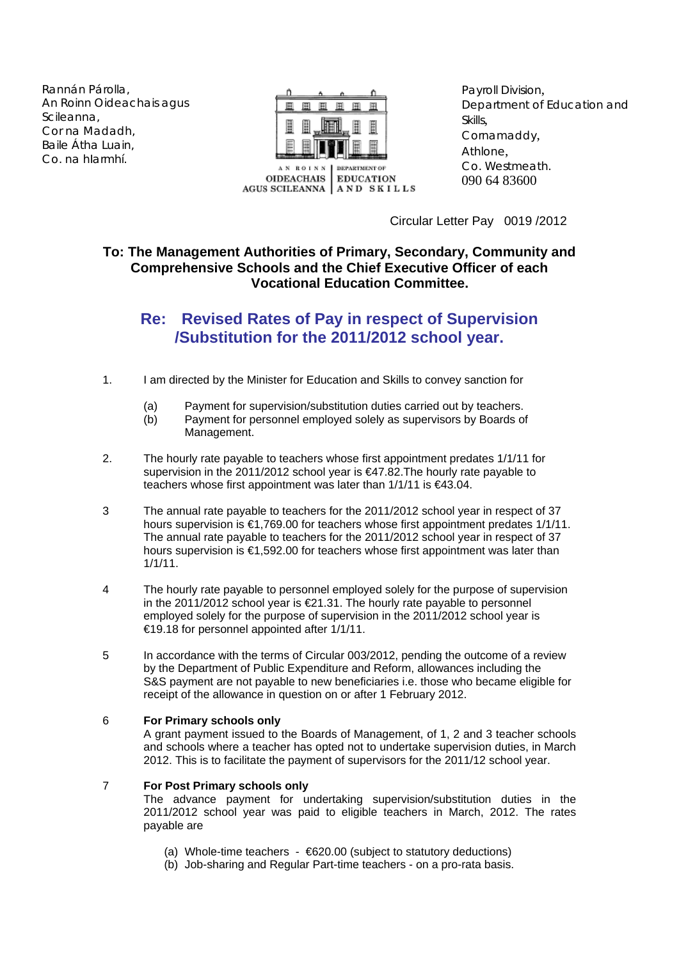Rannán Párolla, An Roinn Oideachais agus Scileanna, Cor na Madadh, Baile Átha Luain, Co. na hIarmhí.



Payroll Division, Department of Education and Skills, Cornamaddy, Athlone, Co. Westmeath. 090 64 83600

Circular Letter Pay 0019 /2012

## **To: The Management Authorities of Primary, Secondary, Community and Comprehensive Schools and the Chief Executive Officer of each Vocational Education Committee.**

## **Re: Revised Rates of Pay in respect of Supervision /Substitution for the 2011/2012 school year.**

- 1. I am directed by the Minister for Education and Skills to convey sanction for
	- (a) Payment for supervision/substitution duties carried out by teachers.
	- (b) Payment for personnel employed solely as supervisors by Boards of Management.
- 2. The hourly rate payable to teachers whose first appointment predates 1/1/11 for supervision in the 2011/2012 school year is €47.82.The hourly rate payable to teachers whose first appointment was later than 1/1/11 is €43.04.
- 3 The annual rate payable to teachers for the 2011/2012 school year in respect of 37 hours supervision is €1,769.00 for teachers whose first appointment predates 1/1/11. The annual rate payable to teachers for the 2011/2012 school year in respect of 37 hours supervision is €1,592.00 for teachers whose first appointment was later than 1/1/11.
- 4 The hourly rate payable to personnel employed solely for the purpose of supervision in the 2011/2012 school year is €21.31. The hourly rate payable to personnel employed solely for the purpose of supervision in the 2011/2012 school year is €19.18 for personnel appointed after 1/1/11.
- 5 In accordance with the terms of Circular 003/2012, pending the outcome of a review by the Department of Public Expenditure and Reform, allowances including the S&S payment are not payable to new beneficiaries i.e. those who became eligible for receipt of the allowance in question on or after 1 February 2012.

## 6 **For Primary schools only**

A grant payment issued to the Boards of Management, of 1, 2 and 3 teacher schools and schools where a teacher has opted not to undertake supervision duties, in March 2012. This is to facilitate the payment of supervisors for the 2011/12 school year.

## 7 **For Post Primary schools only**

The advance payment for undertaking supervision/substitution duties in the 2011/2012 school year was paid to eligible teachers in March, 2012. The rates payable are

- (a) Whole-time teachers  $\epsilon$ 620.00 (subject to statutory deductions)
- (b) Job-sharing and Regular Part-time teachers on a pro-rata basis.